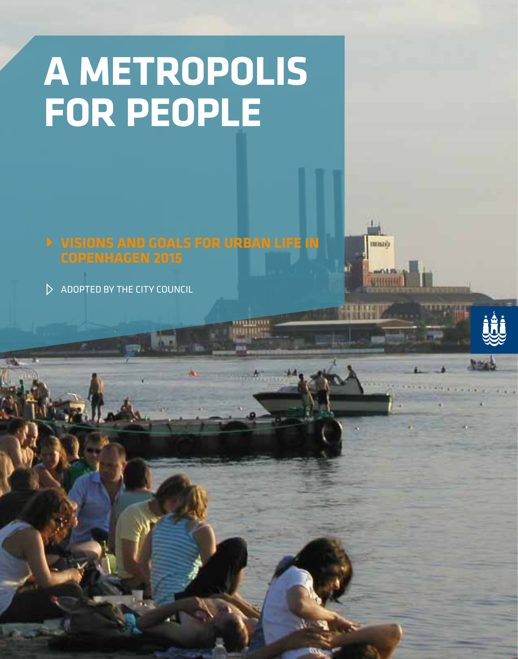# **A metropolis for people**

**Visions and goals for urban life in** 

umm

maris

 $\triangleright$  ADOPTED BY THE CITY COUNCIL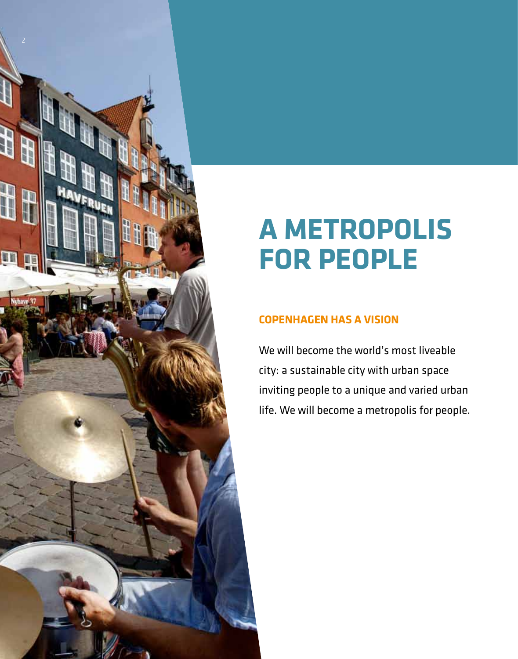

## **A metropolis for people**

### **Copenhagen has a vision**

We will become the world's most liveable city: a sustainable city with urban space inviting people to a unique and varied urban life. We will become a metropolis for people.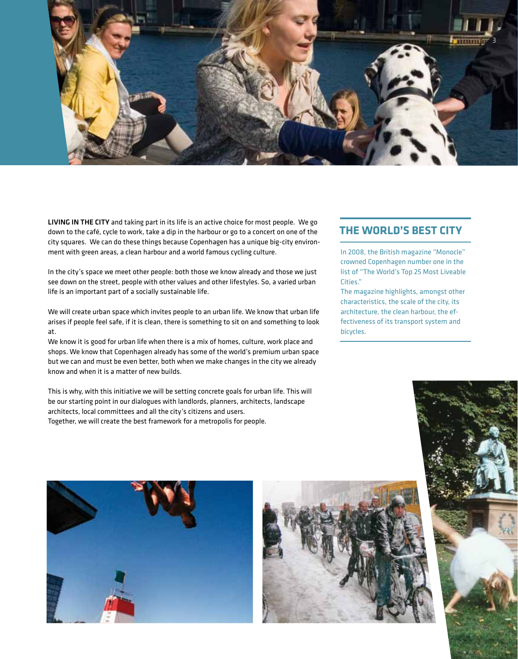

LIVING IN THE CITY and taking part in its life is an active choice for most people. We go down to the café, cycle to work, take a dip in the harbour or go to a concert on one of the city squares. We can do these things because Copenhagen has a unique big-city environment with green areas, a clean harbour and a world famous cycling culture.

In the city's space we meet other people: both those we know already and those we just see down on the street, people with other values and other lifestyles. So, a varied urban life is an important part of a socially sustainable life.

We will create urban space which invites people to an urban life. We know that urban life arises if people feel safe, if it is clean, there is something to sit on and something to look at.

We know it is good for urban life when there is a mix of homes, culture, work place and shops. We know that Copenhagen already has some of the world's premium urban space but we can and must be even better, both when we make changes in the city we already know and when it is a matter of new builds.

This is why, with this initiative we will be setting concrete goals for urban life. This will be our starting point in our dialogues with landlords, planners, architects, landscape architects, local committees and all the city's citizens and users. Together, we will create the best framework for a metropolis for people.

#### **THE WORLD'S BEST CITY**

In 2008, the British magazine "Monocle" crowned Copenhagen number one in the list of "The World's Top 25 Most Liveable Cities."

The magazine highlights, amongst other characteristics, the scale of the city, its architecture, the clean harbour, the effectiveness of its transport system and bicycles.





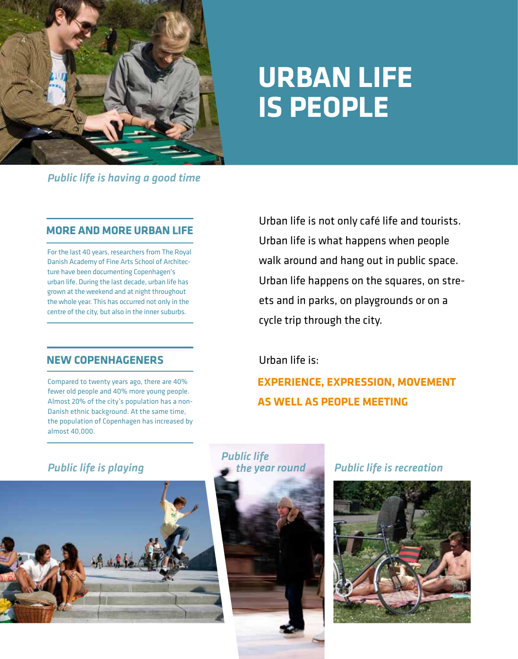

### **Urban Life is people**

*Public life is having a good time*

#### **MORE AND MORE URBAN LIFE**

For the last 40 years, researchers from The Royal Danish Academy of Fine Arts School of Architecture have been documenting Copenhagen's urban life. During the last decade, urban life has grown at the weekend and at night throughout the whole year. This has occurred not only in the centre of the city, but also in the inner suburbs.

### **NEW COPENHAGENERS**

Compared to twenty years ago, there are 40% fewer old people and 40% more young people. Almost 20% of the city's population has a non-Danish ethnic background. At the same time, the population of Copenhagen has increased by almost 40,000.

Urban life is not only café life and tourists. Urban life is what happens when people walk around and hang out in public space. Urban life happens on the squares, on streets and in parks, on playgrounds or on a cycle trip through the city.

### Urban life is:

**Experience, expression, movement as well as people meeting**





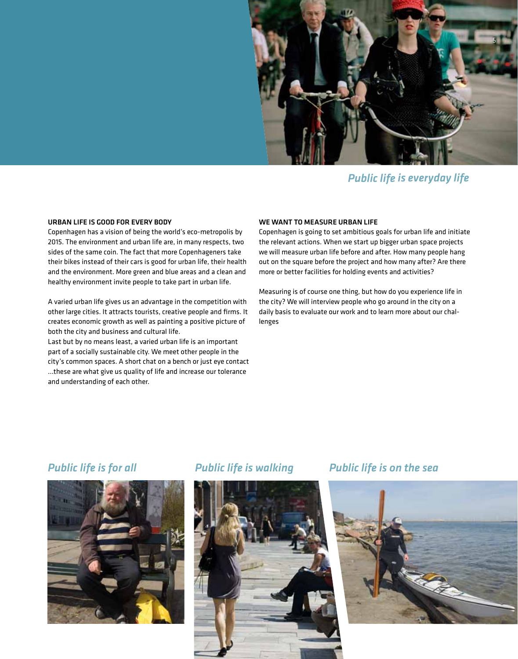

*Public life is everyday life*

#### URBAN LIFE IS GOOD FOR EVERY BODY

Copenhagen has a vision of being the world's eco-metropolis by 2015. The environment and urban life are, in many respects, two sides of the same coin. The fact that more Copenhageners take their bikes instead of their cars is good for urban life, their health and the environment. More green and blue areas and a clean and healthy environment invite people to take part in urban life.

A varied urban life gives us an advantage in the competition with other large cities. It attracts tourists, creative people and firms. It creates economic growth as well as painting a positive picture of both the city and business and cultural life.

Last but by no means least, a varied urban life is an important part of a socially sustainable city. We meet other people in the city's common spaces. A short chat on a bench or just eye contact …these are what give us quality of life and increase our tolerance and understanding of each other.

#### WE WANT TO MEASURE URBAN LIFE

Copenhagen is going to set ambitious goals for urban life and initiate the relevant actions. When we start up bigger urban space projects we will measure urban life before and after. How many people hang out on the square before the project and how many after? Are there more or better facilities for holding events and activities?

Measuring is of course one thing, but how do you experience life in the city? We will interview people who go around in the city on a daily basis to evaluate our work and to learn more about our challenges





#### *Public life is for all Public life is walking Public life is on the sea*

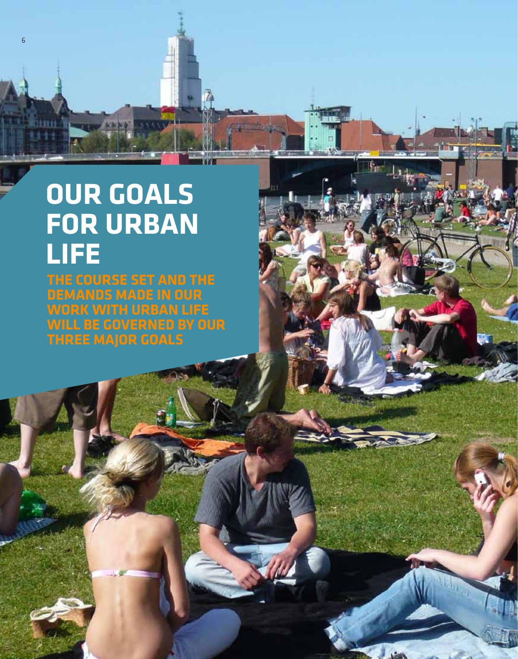## **Our goals for urban life**

ī.,

6

**The course set and the demands made in our work with urban life will be governed by our three major goals**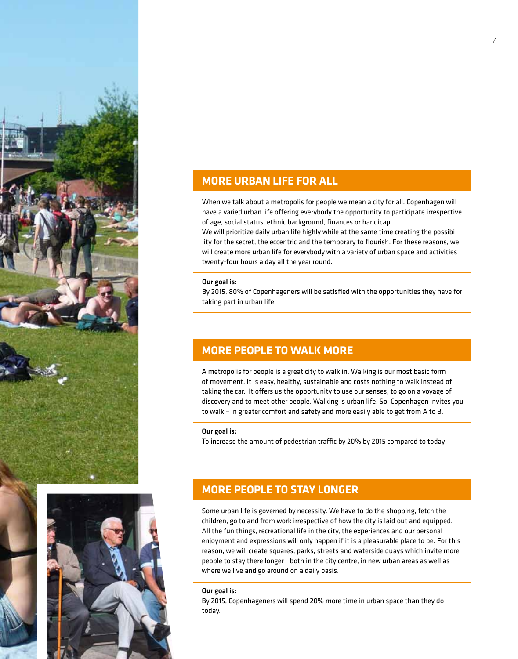



#### **MORE URBAN LIFE FOR ALL**

When we talk about a metropolis for people we mean a city for all. Copenhagen will have a varied urban life offering everybody the opportunity to participate irrespective of age, social status, ethnic background, finances or handicap.

We will prioritize daily urban life highly while at the same time creating the possibility for the secret, the eccentric and the temporary to flourish. For these reasons, we will create more urban life for everybody with a variety of urban space and activities twenty-four hours a day all the year round.

#### Our goal is:

By 2015, 80% of Copenhageners will be satisfied with the opportunities they have for taking part in urban life.

#### **MORE PEOPLE TO WALK MORE**

A metropolis for people is a great city to walk in. Walking is our most basic form of movement. It is easy, healthy, sustainable and costs nothing to walk instead of taking the car. It offers us the opportunity to use our senses, to go on a voyage of discovery and to meet other people. Walking is urban life. So, Copenhagen invites you to walk – in greater comfort and safety and more easily able to get from A to B.

#### Our goal is:

To increase the amount of pedestrian traffic by 20% by 2015 compared to today

### **MORE PEOPLE TO STAY LONGER**

Some urban life is governed by necessity. We have to do the shopping, fetch the children, go to and from work irrespective of how the city is laid out and equipped. All the fun things, recreational life in the city, the experiences and our personal enjoyment and expressions will only happen if it is a pleasurable place to be. For this reason, we will create squares, parks, streets and waterside quays which invite more people to stay there longer - both in the city centre, in new urban areas as well as where we live and go around on a daily basis.

#### Our goal is:

By 2015, Copenhageners will spend 20% more time in urban space than they do today.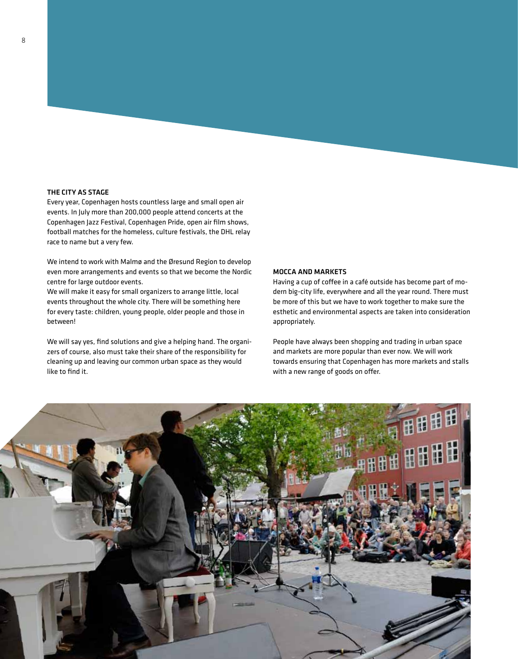#### THE CITY AS STAGE

Every year, Copenhagen hosts countless large and small open air events. In July more than 200,000 people attend concerts at the Copenhagen Jazz Festival, Copenhagen Pride, open air film shows, football matches for the homeless, culture festivals, the DHL relay race to name but a very few.

We intend to work with Malmø and the Øresund Region to develop even more arrangements and events so that we become the Nordic centre for large outdoor events.

We will make it easy for small organizers to arrange little, local events throughout the whole city. There will be something here for every taste: children, young people, older people and those in between!

We will say yes, find solutions and give a helping hand. The organizers of course, also must take their share of the responsibility for cleaning up and leaving our common urban space as they would like to find it.

#### MOCCA AND MARKETS

Having a cup of coffee in a café outside has become part of modern big-city life, everywhere and all the year round. There must be more of this but we have to work together to make sure the esthetic and environmental aspects are taken into consideration appropriately.

People have always been shopping and trading in urban space and markets are more popular than ever now. We will work towards ensuring that Copenhagen has more markets and stalls with a new range of goods on offer.

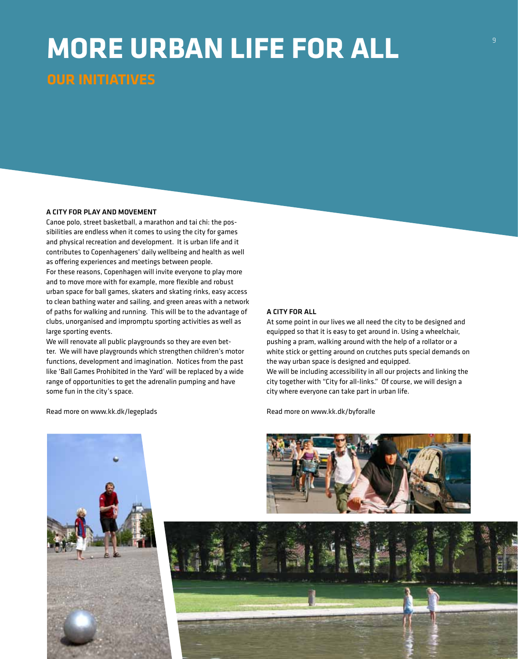### **More urban life for all Our initiatives**

#### A city for play and movement

Canoe polo, street basketball, a marathon and tai chi: the possibilities are endless when it comes to using the city for games and physical recreation and development. It is urban life and it contributes to Copenhageners' daily wellbeing and health as well as offering experiences and meetings between people. For these reasons, Copenhagen will invite everyone to play more and to move more with for example, more flexible and robust urban space for ball games, skaters and skating rinks, easy access to clean bathing water and sailing, and green areas with a network of paths for walking and running. This will be to the advantage of clubs, unorganised and impromptu sporting activities as well as large sporting events.

We will renovate all public playgrounds so they are even better. We will have playgrounds which strengthen children's motor functions, development and imagination. Notices from the past like 'Ball Games Prohibited in the Yard' will be replaced by a wide range of opportunities to get the adrenalin pumping and have some fun in the city's space.

Read more on www.kk.dk/legeplads

#### A CITY FOR ALL

At some point in our lives we all need the city to be designed and equipped so that it is easy to get around in. Using a wheelchair, pushing a pram, walking around with the help of a rollator or a white stick or getting around on crutches puts special demands on the way urban space is designed and equipped. We will be including accessibility in all our projects and linking the city together with "City for all-links." Of course, we will design a city where everyone can take part in urban life.

Read more on www.kk.dk/byforalle

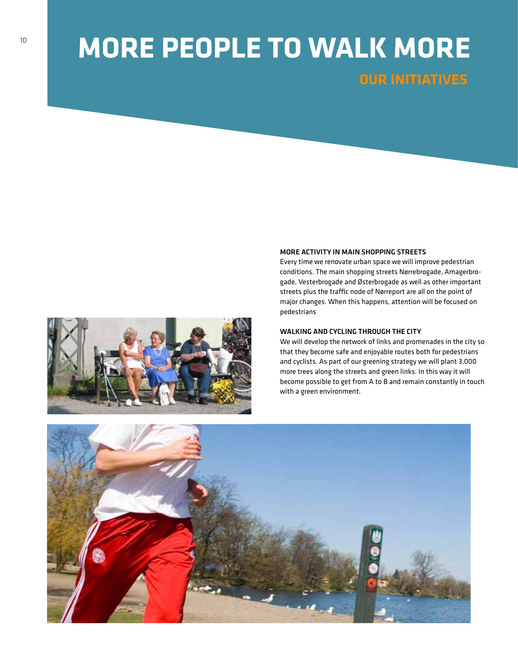### **More people to walk more Our initiatives**

#### MORE ACTIVITY IN MAIN SHOPPING STREETS

Every time we renovate urban space we will improve pedestrian conditions. The main shopping streets Nørrebrogade, Amagerbrogade, Vesterbrogade and Østerbrogade as well as other important streets plus the traffic node of Nørreport are all on the point of major changes. When this happens, attention will be focused on pedestrians

#### WALKING AND CYCLING THROUGH THE CITY

We will develop the network of links and promenades in the city so that they become safe and enjoyable routes both for pedestrians and cyclists. As part of our greening strategy we will plant 3,000 more trees along the streets and green links. In this way it will become possible to get from A to B and remain constantly in touch with a green environment.

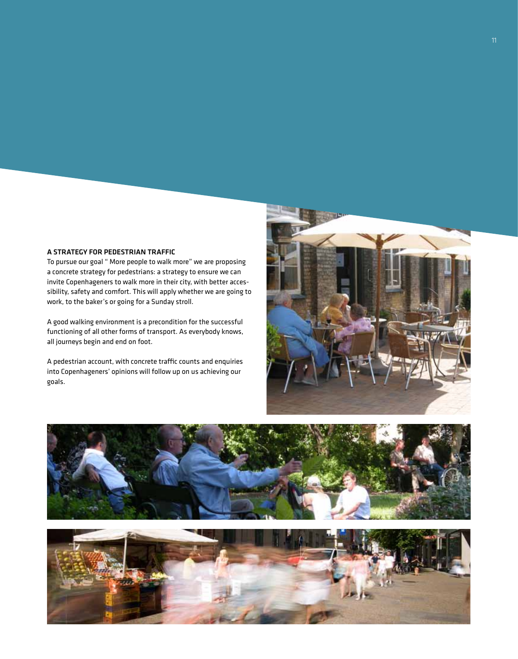#### A strategy for pedestrian traffic

To pursue our goal " More people to walk more" we are proposing a concrete strategy for pedestrians: a strategy to ensure we can invite Copenhageners to walk more in their city, with better accessibility, safety and comfort. This will apply whether we are going to work, to the baker's or going for a Sunday stroll.

A good walking environment is a precondition for the successful functioning of all other forms of transport. As everybody knows, all journeys begin and end on foot.

A pedestrian account, with concrete traffic counts and enquiries into Copenhageners' opinions will follow up on us achieving our goals.





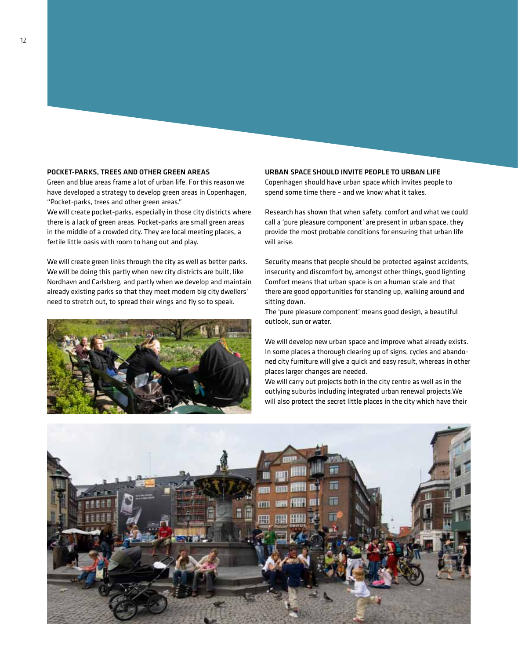#### POCKET-PARKS, TREES AND OTHER GREEN AREAS

Green and blue areas frame a lot of urban life. For this reason we have developed a strategy to develop green areas in Copenhagen, "Pocket-parks, trees and other green areas."

We will create pocket-parks, especially in those city districts where there is a lack of green areas. Pocket-parks are small green areas in the middle of a crowded city. They are local meeting places, a fertile little oasis with room to hang out and play.

We will create green links through the city as well as better parks. We will be doing this partly when new city districts are built, like Nordhavn and Carlsberg, and partly when we develop and maintain already existing parks so that they meet modern big city dwellers' need to stretch out, to spread their wings and fly so to speak.



#### URBAN SPACE SHOULD INVITE PEOPLE TO URBAN LIFE

Copenhagen should have urban space which invites people to spend some time there – and we know what it takes.

Research has shown that when safety, comfort and what we could call a 'pure pleasure component' are present in urban space, they provide the most probable conditions for ensuring that urban life will arise.

Security means that people should be protected against accidents, insecurity and discomfort by, amongst other things, good lighting Comfort means that urban space is on a human scale and that there are good opportunities for standing up, walking around and sitting down.

The 'pure pleasure component' means good design, a beautiful outlook, sun or water.

We will develop new urban space and improve what already exists. In some places a thorough clearing up of signs, cycles and abandoned city furniture will give a quick and easy result, whereas in other places larger changes are needed.

We will carry out projects both in the city centre as well as in the outlying suburbs including integrated urban renewal projects.We will also protect the secret little places in the city which have their

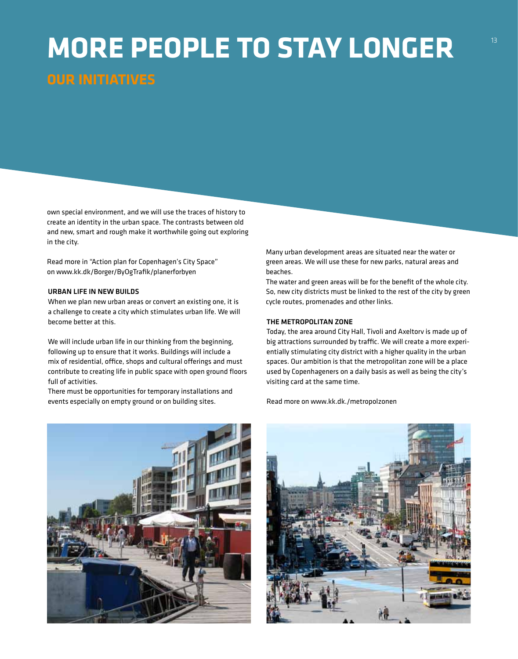### **More people to stay longer Our initiatives**

own special environment, and we will use the traces of history to create an identity in the urban space. The contrasts between old and new, smart and rough make it worthwhile going out exploring in the city.

Read more in "Action plan for Copenhagen's City Space" on www.kk.dk/Borger/ByOgTrafik/planerforbyen

#### URBAN LIFE IN NEW BUILDS

When we plan new urban areas or convert an existing one, it is a challenge to create a city which stimulates urban life. We will become better at this.

We will include urban life in our thinking from the beginning, following up to ensure that it works. Buildings will include a mix of residential, office, shops and cultural offerings and must contribute to creating life in public space with open ground floors full of activities.

There must be opportunities for temporary installations and events especially on empty ground or on building sites.



Many urban development areas are situated near the water or green areas. We will use these for new parks, natural areas and beaches.

The water and green areas will be for the benefit of the whole city. So, new city districts must be linked to the rest of the city by green cycle routes, promenades and other links.

#### THE METROPOLITAN ZONE

Today, the area around City Hall, Tivoli and Axeltorv is made up of big attractions surrounded by traffic. We will create a more experientially stimulating city district with a higher quality in the urban spaces. Our ambition is that the metropolitan zone will be a place used by Copenhageners on a daily basis as well as being the city's visiting card at the same time.

Read more on www.kk.dk./metropolzonen

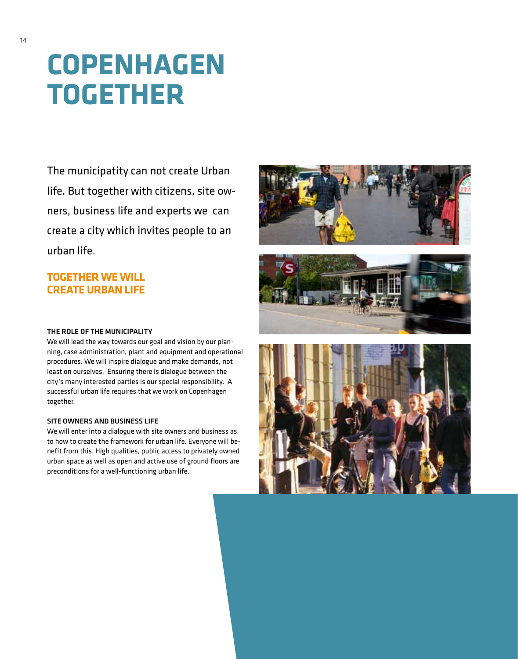## **Copenhagen together**

The municipatity can not create Urban life. But together with citizens, site owners, business life and experts we can create a city which invites people to an urban life.

#### **Together we will create urban life**





#### THE ROLE OF THE MUNICIPALITY

We will lead the way towards our goal and vision by our planning, case administration, plant and equipment and operational procedures. We will inspire dialogue and make demands, not least on ourselves. Ensuring there is dialogue between the city's many interested parties is our special responsibility. A successful urban life requires that we work on Copenhagen together.

#### SITE OWNERS AND BUSINESS LIFE

We will enter into a dialogue with site owners and business as to how to create the framework for urban life. Everyone will benefit from this. High qualities, public access to privately owned urban space as well as open and active use of ground floors are preconditions for a well-functioning urban life.

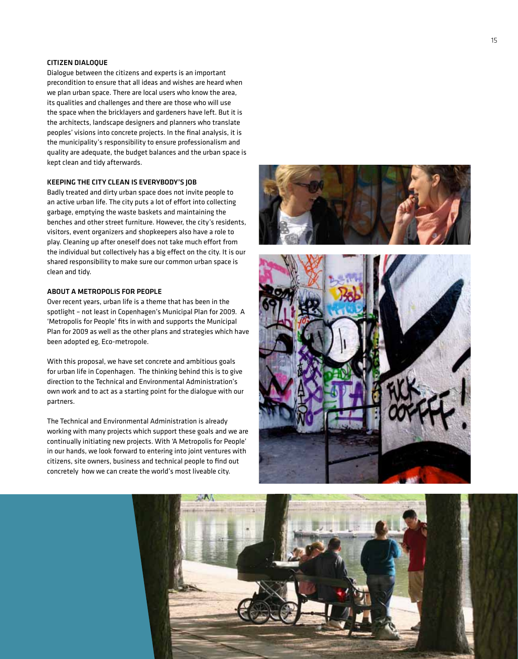#### CITIZEN DIALOQUE

Dialogue between the citizens and experts is an important precondition to ensure that all ideas and wishes are heard when we plan urban space. There are local users who know the area, its qualities and challenges and there are those who will use the space when the bricklayers and gardeners have left. But it is the architects, landscape designers and planners who translate peoples' visions into concrete projects. In the final analysis, it is the municipality's responsibility to ensure professionalism and quality are adequate, the budget balances and the urban space is kept clean and tidy afterwards.

#### KEE PING THE CITY CLEAN IS EVERYBODY'S JOB

Badly treated and dirty urban space does not invite people to an active urban life. The city puts a lot of effort into collecting garbage, emptying the waste baskets and maintaining the benches and other street furniture. However, the city's residents, visitors, event organizers and shopkeepers also have a role to play. Cleaning up after oneself does not take much effort from the individual but collectively has a big effect on the city. It is our shared responsibility to make sure our common urban space is clean and tidy.

#### About a Metro polis for Peo ple

Over recent years, urban life is a theme that has been in the spotlight – not least in Copenhagen's Municipal Plan for 2009. A 'Metropolis for People' fits in with and supports the Municipal Plan for 2009 as well as the other plans and strategies which have been adopted eg, Eco-metropole.

With this proposal, we have set concrete and ambitious goals for urban life in Copenhagen. The thinking behind this is to give direction to the Technical and Environmental Administration's own work and to act as a starting point for the dialogue with our

partners.<br>The Technical and Environmental Administration is already working with many projects which support these goals and we are continually initiating new projects. With 'A Metropolis for People' in our hands, we look forward to entering into joint ventures with citizens, site owners, business and technical people to find out concretely how we can create the world's most liveable city.